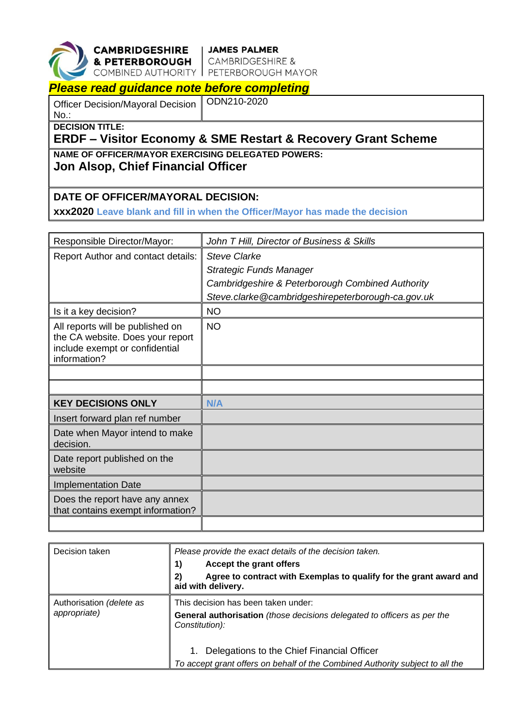

**CAMBRIDGESHIRE** JAMES PALMER<br>
& PETERBOROUGH CAMBRIDGESHIRE &<br>
COMBINED AUTHORITY PETERBOROUGH MAYOR

## *Please read guidance note before completing*

Officer Decision/Mayoral Decision No.:

ODN210-2020

**DECISION TITLE:**

## **ERDF – Visitor Economy & SME Restart & Recovery Grant Scheme**

**NAME OF OFFICER/MAYOR EXERCISING DELEGATED POWERS: Jon Alsop, Chief Financial Officer** 

## **DATE OF OFFICER/MAYORAL DECISION:**

**xxx2020 Leave blank and fill in when the Officer/Mayor has made the decision**

| Responsible Director/Mayor:                                                                                            | John T Hill, Director of Business & Skills        |  |
|------------------------------------------------------------------------------------------------------------------------|---------------------------------------------------|--|
| Report Author and contact details:                                                                                     | <b>Steve Clarke</b>                               |  |
|                                                                                                                        | <b>Strategic Funds Manager</b>                    |  |
|                                                                                                                        | Cambridgeshire & Peterborough Combined Authority  |  |
|                                                                                                                        | Steve.clarke@cambridgeshirepeterborough-ca.gov.uk |  |
| Is it a key decision?                                                                                                  | <b>NO</b>                                         |  |
| All reports will be published on<br>the CA website. Does your report<br>include exempt or confidential<br>information? | <b>NO</b>                                         |  |
|                                                                                                                        |                                                   |  |
|                                                                                                                        |                                                   |  |
| <b>KEY DECISIONS ONLY</b>                                                                                              | N/A                                               |  |
| Insert forward plan ref number                                                                                         |                                                   |  |
| Date when Mayor intend to make<br>decision.                                                                            |                                                   |  |
| Date report published on the<br>website                                                                                |                                                   |  |
| <b>Implementation Date</b>                                                                                             |                                                   |  |
| Does the report have any annex<br>that contains exempt information?                                                    |                                                   |  |
|                                                                                                                        |                                                   |  |

| Decision taken                           | Please provide the exact details of the decision taken.<br>Accept the grant offers<br>1)<br>2)<br>Agree to contract with Exemplas to qualify for the grant award and<br>aid with delivery. |
|------------------------------------------|--------------------------------------------------------------------------------------------------------------------------------------------------------------------------------------------|
| Authorisation (delete as<br>appropriate) | This decision has been taken under:<br>General authorisation (those decisions delegated to officers as per the<br>Constitution):                                                           |
|                                          | Delegations to the Chief Financial Officer<br>1.<br>To accept grant offers on behalf of the Combined Authority subject to all the                                                          |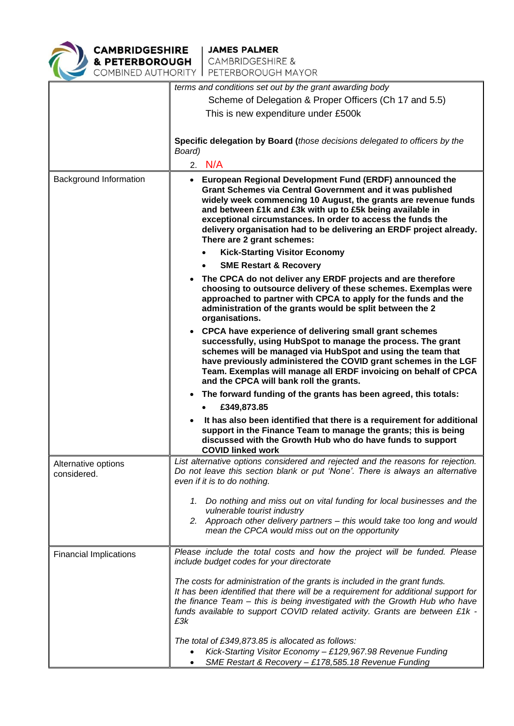

|                               | terms and conditions set out by the grant awarding body                                                                                                                                                                                                                                                                                                                                                                   |  |  |
|-------------------------------|---------------------------------------------------------------------------------------------------------------------------------------------------------------------------------------------------------------------------------------------------------------------------------------------------------------------------------------------------------------------------------------------------------------------------|--|--|
|                               | Scheme of Delegation & Proper Officers (Ch 17 and 5.5)                                                                                                                                                                                                                                                                                                                                                                    |  |  |
|                               | This is new expenditure under £500k                                                                                                                                                                                                                                                                                                                                                                                       |  |  |
|                               |                                                                                                                                                                                                                                                                                                                                                                                                                           |  |  |
|                               | Specific delegation by Board (those decisions delegated to officers by the<br>Board)                                                                                                                                                                                                                                                                                                                                      |  |  |
|                               | 2. N/A                                                                                                                                                                                                                                                                                                                                                                                                                    |  |  |
| Background Information        | • European Regional Development Fund (ERDF) announced the<br>Grant Schemes via Central Government and it was published<br>widely week commencing 10 August, the grants are revenue funds<br>and between £1k and £3k with up to £5k being available in<br>exceptional circumstances. In order to access the funds the<br>delivery organisation had to be delivering an ERDF project already.<br>There are 2 grant schemes: |  |  |
|                               | <b>Kick-Starting Visitor Economy</b>                                                                                                                                                                                                                                                                                                                                                                                      |  |  |
|                               | <b>SME Restart &amp; Recovery</b>                                                                                                                                                                                                                                                                                                                                                                                         |  |  |
|                               | The CPCA do not deliver any ERDF projects and are therefore<br>choosing to outsource delivery of these schemes. Exemplas were<br>approached to partner with CPCA to apply for the funds and the<br>administration of the grants would be split between the 2<br>organisations.                                                                                                                                            |  |  |
|                               | <b>CPCA have experience of delivering small grant schemes</b><br>$\bullet$<br>successfully, using HubSpot to manage the process. The grant<br>schemes will be managed via HubSpot and using the team that<br>have previously administered the COVID grant schemes in the LGF<br>Team. Exemplas will manage all ERDF invoicing on behalf of CPCA<br>and the CPCA will bank roll the grants.                                |  |  |
|                               | The forward funding of the grants has been agreed, this totals:<br>$\bullet$                                                                                                                                                                                                                                                                                                                                              |  |  |
|                               | £349,873.85                                                                                                                                                                                                                                                                                                                                                                                                               |  |  |
|                               | It has also been identified that there is a requirement for additional<br>$\bullet$<br>support in the Finance Team to manage the grants; this is being<br>discussed with the Growth Hub who do have funds to support<br><b>COVID linked work</b>                                                                                                                                                                          |  |  |
| Alternative options           | List alternative options considered and rejected and the reasons for rejection.                                                                                                                                                                                                                                                                                                                                           |  |  |
| considered.                   | Do not leave this section blank or put 'None'. There is always an alternative<br>even if it is to do nothing.                                                                                                                                                                                                                                                                                                             |  |  |
|                               | 1. Do nothing and miss out on vital funding for local businesses and the<br>vulnerable tourist industry<br>2. Approach other delivery partners - this would take too long and would<br>mean the CPCA would miss out on the opportunity                                                                                                                                                                                    |  |  |
| <b>Financial Implications</b> | Please include the total costs and how the project will be funded. Please<br>include budget codes for your directorate                                                                                                                                                                                                                                                                                                    |  |  |
|                               | The costs for administration of the grants is included in the grant funds.<br>It has been identified that there will be a requirement for additional support for<br>the finance Team - this is being investigated with the Growth Hub who have<br>funds available to support COVID related activity. Grants are between £1k -<br>£3k                                                                                      |  |  |
|                               | The total of £349,873.85 is allocated as follows:<br>Kick-Starting Visitor Economy - £129,967.98 Revenue Funding<br>SME Restart & Recovery - £178,585.18 Revenue Funding                                                                                                                                                                                                                                                  |  |  |